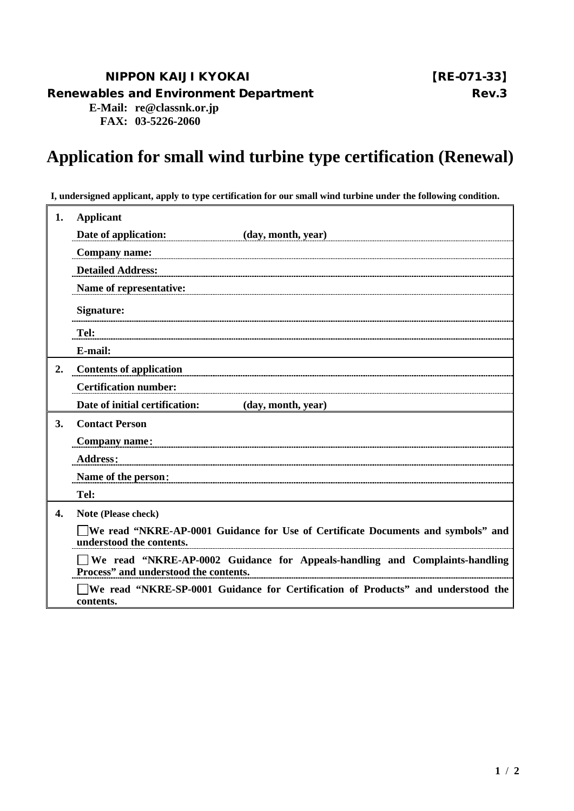## NIPPON KAIJI KYOKAI 【RE-071-33】

Renewables and Environment Department Number 2012 1998 Rev. 3

**E-Mail: re@classnk.or.jp FAX: 03-5226-2060**

## **Application for small wind turbine type certification (Renewal)**

**I, undersigned applicant, apply to type certification for our small wind turbine under the following condition.**

| 1. | <b>Applicant</b>                                                                                                     |
|----|----------------------------------------------------------------------------------------------------------------------|
|    | Date of application:<br>(day, month, year)                                                                           |
|    | <b>Company name:</b>                                                                                                 |
|    | <b>Detailed Address:</b>                                                                                             |
|    | Name of representative:                                                                                              |
|    | <b>Signature:</b>                                                                                                    |
|    | Tel:                                                                                                                 |
|    | E-mail:                                                                                                              |
| 2. | <b>Contents of application</b>                                                                                       |
|    | <b>Certification number:</b>                                                                                         |
|    | Date of initial certification:<br>(day, month, year)                                                                 |
| 3. | <b>Contact Person</b>                                                                                                |
|    | <b>Company name:</b>                                                                                                 |
|    | <b>Address:</b>                                                                                                      |
|    | Name of the person:                                                                                                  |
|    | Tel:                                                                                                                 |
| 4. | Note (Please check)                                                                                                  |
|    | We read "NKRE-AP-0001 Guidance for Use of Certificate Documents and symbols" and<br>understood the contents.         |
|    | We read "NKRE-AP-0002 Guidance for Appeals-handling and Complaints-handling<br>Process" and understood the contents. |
|    | We read "NKRE-SP-0001 Guidance for Certification of Products" and understood the<br>contents.                        |